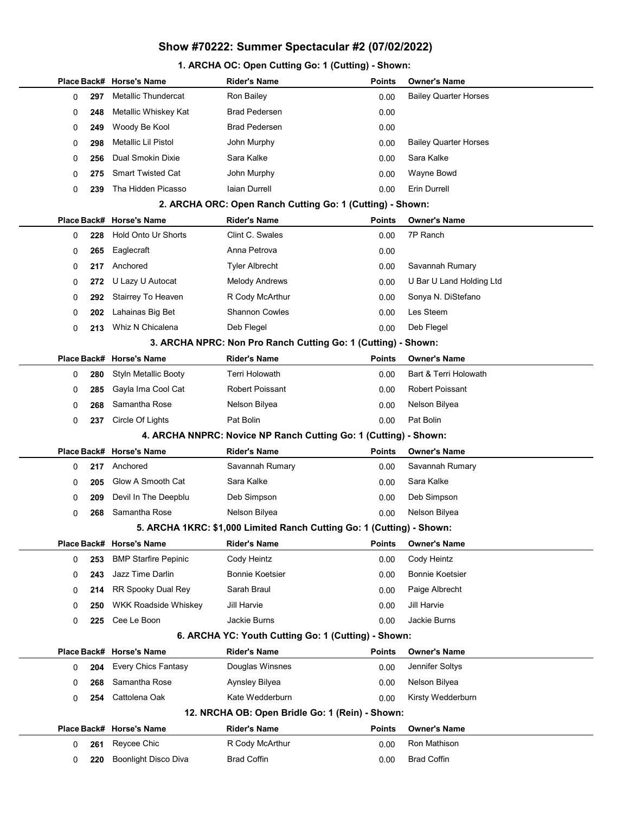# Show #70222: Summer Spectacular #2 (07/02/2022)

# 1. ARCHA OC: Open Cutting Go: 1 (Cutting) - Shown:

|          | Place Back# Horse's Name    | Rider's Name                                                          | <b>Points</b> | <b>Owner's Name</b>          |
|----------|-----------------------------|-----------------------------------------------------------------------|---------------|------------------------------|
| 297<br>0 | Metallic Thundercat         | Ron Bailey                                                            | 0.00          | <b>Bailey Quarter Horses</b> |
| 0<br>248 | Metallic Whiskey Kat        | <b>Brad Pedersen</b>                                                  | 0.00          |                              |
| 0<br>249 | Woody Be Kool               | <b>Brad Pedersen</b>                                                  | 0.00          |                              |
| 298<br>0 | Metallic Lil Pistol         | John Murphy                                                           | 0.00          | <b>Bailey Quarter Horses</b> |
| 0<br>256 | Dual Smokin Dixie           | Sara Kalke                                                            | 0.00          | Sara Kalke                   |
| 0<br>275 | <b>Smart Twisted Cat</b>    | John Murphy                                                           | 0.00          | Wayne Bowd                   |
| 0<br>239 | Tha Hidden Picasso          | Iaian Durrell                                                         | 0.00          | <b>Erin Durrell</b>          |
|          |                             | 2. ARCHA ORC: Open Ranch Cutting Go: 1 (Cutting) - Shown:             |               |                              |
|          | Place Back# Horse's Name    | <b>Rider's Name</b>                                                   | Points        | <b>Owner's Name</b>          |
| 0<br>228 | <b>Hold Onto Ur Shorts</b>  | Clint C. Swales                                                       | 0.00          | 7P Ranch                     |
| 0<br>265 | Eaglecraft                  | Anna Petrova                                                          | 0.00          |                              |
| 0<br>217 | Anchored                    | Tyler Albrecht                                                        | 0.00          | Savannah Rumary              |
| 0<br>272 | U Lazy U Autocat            | <b>Melody Andrews</b>                                                 | 0.00          | U Bar U Land Holding Ltd     |
| 0<br>292 | Stairrey To Heaven          | R Cody McArthur                                                       | 0.00          | Sonya N. DiStefano           |
| 0<br>202 | Lahainas Big Bet            | <b>Shannon Cowles</b>                                                 | 0.00          | Les Steem                    |
| 0<br>213 | Whiz N Chicalena            | Deb Flegel                                                            | 0.00          | Deb Flegel                   |
|          |                             | 3. ARCHA NPRC: Non Pro Ranch Cutting Go: 1 (Cutting) - Shown:         |               |                              |
|          | Place Back# Horse's Name    | <b>Rider's Name</b>                                                   | Points        | <b>Owner's Name</b>          |
| 0<br>280 | <b>Styln Metallic Booty</b> | Terri Holowath                                                        | 0.00          | Bart & Terri Holowath        |
| 285<br>0 | Gayla Ima Cool Cat          | Robert Poissant                                                       | 0.00          | Robert Poissant              |
| 0<br>268 | Samantha Rose               | Nelson Bilyea                                                         | 0.00          | Nelson Bilyea                |
| 0<br>237 | Circle Of Lights            | Pat Bolin                                                             | 0.00          | Pat Bolin                    |
|          |                             | 4. ARCHA NNPRC: Novice NP Ranch Cutting Go: 1 (Cutting) - Shown:      |               |                              |
|          | Place Back# Horse's Name    | Rider's Name                                                          | Points        | <b>Owner's Name</b>          |
| 0<br>217 | Anchored                    | Savannah Rumary                                                       | 0.00          | Savannah Rumary              |
| 205<br>0 | Glow A Smooth Cat           | Sara Kalke                                                            | 0.00          | Sara Kalke                   |
| 0<br>209 | Devil In The Deepblu        | Deb Simpson                                                           | 0.00          | Deb Simpson                  |
| 0<br>268 | Samantha Rose               | Nelson Bilyea                                                         | 0.00          | Nelson Bilyea                |
|          |                             | 5. ARCHA 1KRC: \$1,000 Limited Ranch Cutting Go: 1 (Cutting) - Shown: |               |                              |
|          | Place Back# Horse's Name    | <b>Rider's Name</b>                                                   | <b>Points</b> | <b>Owner's Name</b>          |
| 253<br>0 | <b>BMP Starfire Pepinic</b> | Cody Heintz                                                           | 0.00          | Cody Heintz                  |
| 0<br>243 | Jazz Time Darlin            | Bonnie Koetsier                                                       | 0.00          | <b>Bonnie Koetsier</b>       |
| 214<br>0 | RR Spooky Dual Rey          | Sarah Braul                                                           | 0.00          | Paige Albrecht               |
| 0<br>250 | <b>WKK Roadside Whiskey</b> | Jill Harvie                                                           | 0.00          | Jill Harvie                  |
| 0<br>225 | Cee Le Boon                 | Jackie Burns                                                          | 0.00          | <b>Jackie Burns</b>          |
|          |                             | 6. ARCHA YC: Youth Cutting Go: 1 (Cutting) - Shown:                   |               |                              |
|          | Place Back# Horse's Name    | <b>Rider's Name</b>                                                   | <b>Points</b> | <b>Owner's Name</b>          |
| 204<br>0 | <b>Every Chics Fantasy</b>  | Douglas Winsnes                                                       | 0.00          | Jennifer Soltys              |
| 268<br>0 | Samantha Rose               | Aynsley Bilyea                                                        | 0.00          | Nelson Bilyea                |
| 0<br>254 | Cattolena Oak               | Kate Wedderburn                                                       | 0.00          | Kirsty Wedderburn            |
|          |                             | 12. NRCHA OB: Open Bridle Go: 1 (Rein) - Shown:                       |               |                              |
|          | Place Back# Horse's Name    | <b>Rider's Name</b>                                                   | Points        | <b>Owner's Name</b>          |
| 261<br>0 | Reycee Chic                 | R Cody McArthur                                                       | 0.00          | Ron Mathison                 |
| 0<br>220 | Boonlight Disco Diva        | <b>Brad Coffin</b>                                                    | 0.00          | <b>Brad Coffin</b>           |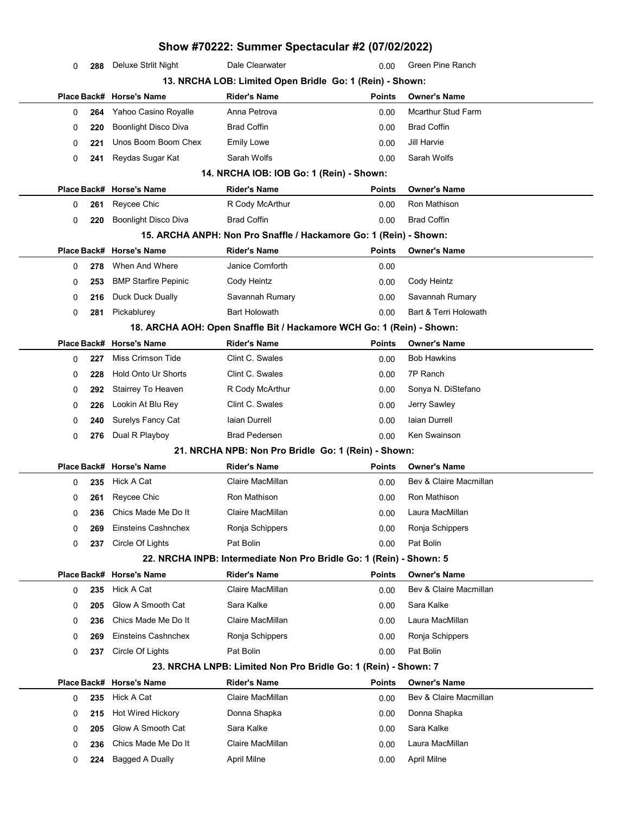| Show #70222: Summer Spectacular #2 (07/02/2022) |            |                                        |                                                                       |               |                                               |  |
|-------------------------------------------------|------------|----------------------------------------|-----------------------------------------------------------------------|---------------|-----------------------------------------------|--|
| 0                                               | 288        | Deluxe Strlit Night                    | Dale Clearwater                                                       | 0.00          | Green Pine Ranch                              |  |
|                                                 |            |                                        | 13. NRCHA LOB: Limited Open Bridle Go: 1 (Rein) - Shown:              |               |                                               |  |
|                                                 |            | Place Back# Horse's Name               | <b>Rider's Name</b>                                                   | <b>Points</b> | <b>Owner's Name</b>                           |  |
| 0                                               | 264        | Yahoo Casino Royalle                   | Anna Petrova                                                          | 0.00          | <b>Mcarthur Stud Farm</b>                     |  |
| 0                                               | 220        | <b>Boonlight Disco Diva</b>            | <b>Brad Coffin</b>                                                    | 0.00          | <b>Brad Coffin</b>                            |  |
| 0                                               | 221        | Unos Boom Boom Chex                    | Emily Lowe                                                            | 0.00          | Jill Harvie                                   |  |
| 0                                               | 241        | Reydas Sugar Kat                       | Sarah Wolfs                                                           | 0.00          | Sarah Wolfs                                   |  |
|                                                 |            |                                        | 14. NRCHA IOB: IOB Go: 1 (Rein) - Shown:                              |               |                                               |  |
|                                                 |            | Place Back# Horse's Name               | <b>Rider's Name</b>                                                   | <b>Points</b> | <b>Owner's Name</b>                           |  |
| 0                                               | 261        | Reycee Chic                            | R Cody McArthur                                                       | 0.00          | Ron Mathison                                  |  |
| 0                                               | 220        | <b>Boonlight Disco Diva</b>            | <b>Brad Coffin</b>                                                    | 0.00          | <b>Brad Coffin</b>                            |  |
|                                                 |            |                                        | 15. ARCHA ANPH: Non Pro Snaffle / Hackamore Go: 1 (Rein) - Shown:     |               |                                               |  |
|                                                 |            | Place Back# Horse's Name               | <b>Rider's Name</b>                                                   | <b>Points</b> | <b>Owner's Name</b>                           |  |
| 0                                               | 278        | When And Where                         | Janice Cornforth                                                      | 0.00          |                                               |  |
| 0                                               | 253        | <b>BMP Starfire Pepinic</b>            | Cody Heintz                                                           | 0.00          | Cody Heintz                                   |  |
| 0                                               | 216        | Duck Duck Dually                       | Savannah Rumary                                                       | 0.00          | Savannah Rumary                               |  |
| 0                                               | 281        | Pickablurey                            | <b>Bart Holowath</b>                                                  | 0.00          | Bart & Terri Holowath                         |  |
|                                                 |            |                                        | 18. ARCHA AOH: Open Snaffle Bit / Hackamore WCH Go: 1 (Rein) - Shown: |               |                                               |  |
|                                                 |            | Place Back# Horse's Name               | <b>Rider's Name</b>                                                   | <b>Points</b> | <b>Owner's Name</b>                           |  |
| 0                                               | 227        | Miss Crimson Tide                      | Clint C. Swales                                                       | 0.00          | <b>Bob Hawkins</b>                            |  |
| 0                                               | 228        | <b>Hold Onto Ur Shorts</b>             | Clint C. Swales                                                       | 0.00          | 7P Ranch                                      |  |
| 0                                               | 292        | Stairrey To Heaven                     | R Cody McArthur                                                       | 0.00          | Sonya N. DiStefano                            |  |
| 0                                               | 226        | Lookin At Blu Rey                      | Clint C. Swales                                                       | 0.00          | Jerry Sawley                                  |  |
| 0                                               | 240        | Surelys Fancy Cat                      | laian Durrell                                                         | 0.00          | Iaian Durrell                                 |  |
| 0                                               | 276        | Dual R Playboy                         | <b>Brad Pedersen</b>                                                  | 0.00          | Ken Swainson                                  |  |
|                                                 |            |                                        | 21. NRCHA NPB: Non Pro Bridle Go: 1 (Rein) - Shown:                   |               |                                               |  |
|                                                 |            | Place Back# Horse's Name               | <b>Rider's Name</b>                                                   | <b>Points</b> | <b>Owner's Name</b>                           |  |
| 0                                               | 235        | Hick A Cat                             | Claire MacMillan                                                      | 0.00          | Bev & Claire Macmillan                        |  |
| 0                                               |            | 261 Reycee Chic                        | Ron Mathison                                                          | 0.00          | Ron Mathison                                  |  |
| 0                                               | 236        | Chics Made Me Do It                    | Claire MacMillan                                                      | 0.00          | Laura MacMillan                               |  |
| 0                                               | 269        | Einsteins Cashnchex                    | Ronja Schippers                                                       | 0.00          | Ronja Schippers                               |  |
| 0                                               | 237        | Circle Of Lights                       | Pat Bolin                                                             | 0.00          | Pat Bolin                                     |  |
|                                                 |            |                                        | 22. NRCHA INPB: Intermediate Non Pro Bridle Go: 1 (Rein) - Shown: 5   |               |                                               |  |
|                                                 |            | Place Back# Horse's Name<br>Hick A Cat | <b>Rider's Name</b><br>Claire MacMillan                               | <b>Points</b> | <b>Owner's Name</b><br>Bev & Claire Macmillan |  |
| 0                                               | 235        | Glow A Smooth Cat                      | Sara Kalke                                                            | 0.00<br>0.00  | Sara Kalke                                    |  |
| 0                                               | 205<br>236 | Chics Made Me Do It                    | Claire MacMillan                                                      | 0.00          | Laura MacMillan                               |  |
| 0                                               |            | Einsteins Cashnchex                    | Ronja Schippers                                                       | 0.00          | Ronja Schippers                               |  |
| 0                                               | 269        | Circle Of Lights                       | Pat Bolin                                                             |               | Pat Bolin                                     |  |
| 0                                               | 237        |                                        | 23. NRCHA LNPB: Limited Non Pro Bridle Go: 1 (Rein) - Shown: 7        | 0.00          |                                               |  |
|                                                 |            | Place Back# Horse's Name               | <b>Rider's Name</b>                                                   | <b>Points</b> | <b>Owner's Name</b>                           |  |
| 0                                               | 235        | Hick A Cat                             | Claire MacMillan                                                      | 0.00          | Bev & Claire Macmillan                        |  |
| 0                                               | 215        | Hot Wired Hickory                      | Donna Shapka                                                          | 0.00          | Donna Shapka                                  |  |
| 0                                               | 205        | Glow A Smooth Cat                      | Sara Kalke                                                            | 0.00          | Sara Kalke                                    |  |
| 0                                               | 236        | Chics Made Me Do It                    | Claire MacMillan                                                      | 0.00          | Laura MacMillan                               |  |
| 0                                               | 224        | <b>Bagged A Dually</b>                 | April Milne                                                           | 0.00          | <b>April Milne</b>                            |  |
|                                                 |            |                                        |                                                                       |               |                                               |  |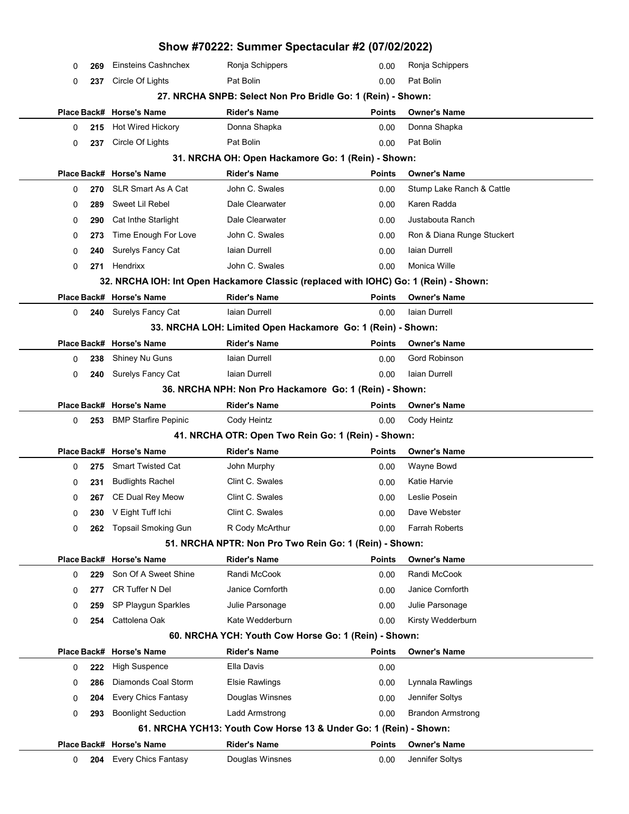|   |      |                             | Show #70222: Summer Spectacular #2 (07/02/2022)                                      |               |                            |
|---|------|-----------------------------|--------------------------------------------------------------------------------------|---------------|----------------------------|
| 0 | 269  | Einsteins Cashnchex         | Ronja Schippers                                                                      | 0.00          | Ronja Schippers            |
| 0 | 237  | Circle Of Lights            | Pat Bolin                                                                            | 0.00          | Pat Bolin                  |
|   |      |                             | 27. NRCHA SNPB: Select Non Pro Bridle Go: 1 (Rein) - Shown:                          |               |                            |
|   |      | Place Back# Horse's Name    | <b>Rider's Name</b>                                                                  | <b>Points</b> | <b>Owner's Name</b>        |
| 0 | 215  | Hot Wired Hickory           | Donna Shapka                                                                         | 0.00          | Donna Shapka               |
| 0 | 237  | Circle Of Lights            | Pat Bolin                                                                            | 0.00          | Pat Bolin                  |
|   |      |                             | 31. NRCHA OH: Open Hackamore Go: 1 (Rein) - Shown:                                   |               |                            |
|   |      | Place Back# Horse's Name    | <b>Rider's Name</b>                                                                  | Points        | <b>Owner's Name</b>        |
| 0 | 270  | <b>SLR Smart As A Cat</b>   | John C. Swales                                                                       | 0.00          | Stump Lake Ranch & Cattle  |
| 0 | 289  | Sweet Lil Rebel             | Dale Clearwater                                                                      | 0.00          | Karen Radda                |
| 0 | 290  | Cat Inthe Starlight         | Dale Clearwater                                                                      | 0.00          | Justabouta Ranch           |
| 0 | 273  | Time Enough For Love        | John C. Swales                                                                       | 0.00          | Ron & Diana Runge Stuckert |
| 0 | 240  | <b>Surelys Fancy Cat</b>    | laian Durrell                                                                        | 0.00          | laian Durrell              |
| 0 |      | 271 Hendrixx                | John C. Swales                                                                       | 0.00          | Monica Wille               |
|   |      |                             | 32. NRCHA IOH: Int Open Hackamore Classic (replaced with IOHC) Go: 1 (Rein) - Shown: |               |                            |
|   |      | Place Back# Horse's Name    | <b>Rider's Name</b>                                                                  | <b>Points</b> | <b>Owner's Name</b>        |
| 0 |      | 240 Surelys Fancy Cat       | laian Durrell                                                                        | 0.00          | Iaian Durrell              |
|   |      |                             | 33. NRCHA LOH: Limited Open Hackamore Go: 1 (Rein) - Shown:                          |               |                            |
|   |      | Place Back# Horse's Name    | <b>Rider's Name</b>                                                                  | Points        | <b>Owner's Name</b>        |
| 0 | 238  | Shiney Nu Guns              | Iaian Durrell                                                                        | 0.00          | Gord Robinson              |
| 0 | 240  | Surelys Fancy Cat           | laian Durrell                                                                        | 0.00          | Iaian Durrell              |
|   |      |                             | 36. NRCHA NPH: Non Pro Hackamore Go: 1 (Rein) - Shown:                               |               |                            |
|   |      | Place Back# Horse's Name    | <b>Rider's Name</b>                                                                  | Points        | <b>Owner's Name</b>        |
| 0 | 253  | <b>BMP Starfire Pepinic</b> | Cody Heintz                                                                          | 0.00          | Cody Heintz                |
|   |      |                             | 41. NRCHA OTR: Open Two Rein Go: 1 (Rein) - Shown:                                   |               |                            |
|   |      | Place Back# Horse's Name    | <b>Rider's Name</b>                                                                  | <b>Points</b> | <b>Owner's Name</b>        |
| 0 | 275  | <b>Smart Twisted Cat</b>    | John Murphy                                                                          | 0.00          | Wayne Bowd                 |
| 0 | 231  | <b>Budlights Rachel</b>     | Clint C. Swales                                                                      | 0.00          | Katie Harvie               |
| 0 | 267. | CE Dual Rey Meow            | Clint C. Swales                                                                      | 0.00          | Leslie Posein              |
| 0 | 230  | V Eight Tuff Ichi           | Clint C. Swales                                                                      | 0.00          | Dave Webster               |
| 0 | 262  | <b>Topsail Smoking Gun</b>  | R Cody McArthur                                                                      | 0.00          | <b>Farrah Roberts</b>      |
|   |      |                             | 51. NRCHA NPTR: Non Pro Two Rein Go: 1 (Rein) - Shown:                               |               |                            |
|   |      | Place Back# Horse's Name    | <b>Rider's Name</b>                                                                  | Points        | <b>Owner's Name</b>        |
| 0 | 229  | Son Of A Sweet Shine        | Randi McCook                                                                         | 0.00          | Randi McCook               |
| 0 | 277  | <b>CR Tuffer N Del</b>      | Janice Cornforth                                                                     | 0.00          | Janice Cornforth           |
| 0 | 259  | SP Playgun Sparkles         | Julie Parsonage                                                                      | 0.00          | Julie Parsonage            |
| 0 | 254  | Cattolena Oak               | Kate Wedderburn                                                                      | 0.00          | Kirsty Wedderburn          |
|   |      |                             | 60. NRCHA YCH: Youth Cow Horse Go: 1 (Rein) - Shown:                                 |               |                            |
|   |      | Place Back# Horse's Name    | <b>Rider's Name</b>                                                                  | <b>Points</b> | <b>Owner's Name</b>        |
| 0 | 222  | <b>High Suspence</b>        | Ella Davis                                                                           | 0.00          |                            |
| 0 | 286  | Diamonds Coal Storm         | <b>Elsie Rawlings</b>                                                                | 0.00          | Lynnala Rawlings           |
| 0 | 204  | <b>Every Chics Fantasy</b>  | Douglas Winsnes                                                                      | 0.00          | Jennifer Soltys            |
| 0 | 293  | <b>Boonlight Seduction</b>  | Ladd Armstrong                                                                       | 0.00          | <b>Brandon Armstrong</b>   |
|   |      |                             | 61. NRCHA YCH13: Youth Cow Horse 13 & Under Go: 1 (Rein) - Shown:                    |               |                            |
|   |      | Place Back# Horse's Name    | <b>Rider's Name</b>                                                                  | Points        | <b>Owner's Name</b>        |
| 0 | 204  | <b>Every Chics Fantasy</b>  | Douglas Winsnes                                                                      | 0.00          | Jennifer Soltys            |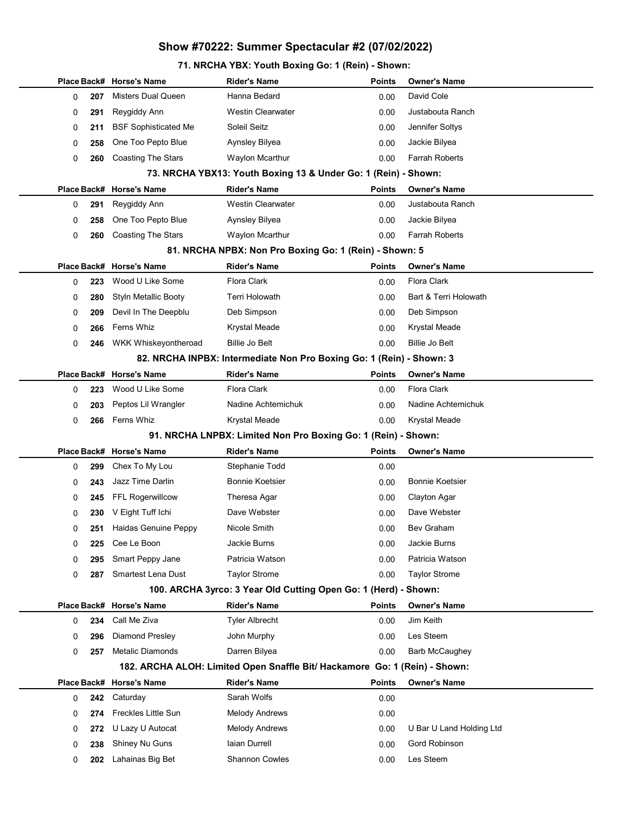# Show #70222: Summer Spectacular #2 (07/02/2022)

## 71. NRCHA YBX: Youth Boxing Go: 1 (Rein) - Shown:

|   |     | Place Back# Horse's Name    | <b>Rider's Name</b>                                                        | Points        | <b>Owner's Name</b>      |
|---|-----|-----------------------------|----------------------------------------------------------------------------|---------------|--------------------------|
| 0 | 207 | <b>Misters Dual Queen</b>   | Hanna Bedard                                                               | 0.00          | David Cole               |
| 0 | 291 | Reygiddy Ann                | <b>Westin Clearwater</b>                                                   | 0.00          | Justabouta Ranch         |
| 0 | 211 | <b>BSF Sophisticated Me</b> | Soleil Seitz                                                               | 0.00          | Jennifer Soltys          |
| 0 | 258 | One Too Pepto Blue          | Aynsley Bilyea                                                             | 0.00          | Jackie Bilyea            |
| 0 | 260 | <b>Coasting The Stars</b>   | Waylon Mcarthur                                                            | 0.00          | <b>Farrah Roberts</b>    |
|   |     |                             | 73. NRCHA YBX13: Youth Boxing 13 & Under Go: 1 (Rein) - Shown:             |               |                          |
|   |     | Place Back# Horse's Name    | <b>Rider's Name</b>                                                        | <b>Points</b> | <b>Owner's Name</b>      |
| 0 | 291 | Reygiddy Ann                | <b>Westin Clearwater</b>                                                   | 0.00          | Justabouta Ranch         |
| 0 | 258 | One Too Pepto Blue          | Aynsley Bilyea                                                             | 0.00          | Jackie Bilyea            |
| 0 | 260 | Coasting The Stars          | Waylon Mcarthur                                                            | 0.00          | <b>Farrah Roberts</b>    |
|   |     |                             | 81. NRCHA NPBX: Non Pro Boxing Go: 1 (Rein) - Shown: 5                     |               |                          |
|   |     | Place Back# Horse's Name    | <b>Rider's Name</b>                                                        | <b>Points</b> | <b>Owner's Name</b>      |
| 0 | 223 | Wood U Like Some            | <b>Flora Clark</b>                                                         | 0.00          | Flora Clark              |
| 0 | 280 | <b>Styln Metallic Booty</b> | Terri Holowath                                                             | 0.00          | Bart & Terri Holowath    |
| 0 | 209 | Devil In The Deepblu        | Deb Simpson                                                                | 0.00          | Deb Simpson              |
| 0 | 266 | Ferns Whiz                  | Krystal Meade                                                              | 0.00          | <b>Krystal Meade</b>     |
| 0 | 246 | WKK Whiskeyontheroad        | <b>Billie Jo Belt</b>                                                      | 0.00          | <b>Billie Jo Belt</b>    |
|   |     |                             | 82. NRCHA INPBX: Intermediate Non Pro Boxing Go: 1 (Rein) - Shown: 3       |               |                          |
|   |     | Place Back# Horse's Name    | <b>Rider's Name</b>                                                        | <b>Points</b> | <b>Owner's Name</b>      |
| 0 | 223 | Wood U Like Some            | <b>Flora Clark</b>                                                         | 0.00          | <b>Flora Clark</b>       |
| 0 | 203 | Peptos Lil Wrangler         | Nadine Achtemichuk                                                         | 0.00          | Nadine Achtemichuk       |
| 0 | 266 | Ferns Whiz                  | Krystal Meade                                                              | 0.00          | Krystal Meade            |
|   |     |                             | 91. NRCHA LNPBX: Limited Non Pro Boxing Go: 1 (Rein) - Shown:              |               |                          |
|   |     | Place Back# Horse's Name    | <b>Rider's Name</b>                                                        | <b>Points</b> | <b>Owner's Name</b>      |
| 0 | 299 | Chex To My Lou              | Stephanie Todd                                                             | 0.00          |                          |
| 0 | 243 | Jazz Time Darlin            | <b>Bonnie Koetsier</b>                                                     | 0.00          | <b>Bonnie Koetsier</b>   |
| 0 | 245 | FFL Rogerwillcow            | Theresa Agar                                                               | 0.00          | Clayton Agar             |
| 0 | 230 | V Eight Tuff Ichi           | Dave Webster                                                               | 0.00          | Dave Webster             |
| 0 | 251 | Haidas Genuine Peppy        | Nicole Smith                                                               | 0.00          | Bev Graham               |
| 0 | 225 | Cee Le Boon                 | Jackie Burns                                                               | 0.00          | Jackie Burns             |
| 0 | 295 | Smart Peppy Jane            | Patricia Watson                                                            | 0.00          | Patricia Watson          |
| 0 | 287 | Smartest Lena Dust          | <b>Taylor Strome</b>                                                       | 0.00          | <b>Taylor Strome</b>     |
|   |     |                             | 100. ARCHA 3yrco: 3 Year Old Cutting Open Go: 1 (Herd) - Shown:            |               |                          |
|   |     | Place Back# Horse's Name    | <b>Rider's Name</b>                                                        | <b>Points</b> | <b>Owner's Name</b>      |
| 0 | 234 | Call Me Ziva                | <b>Tyler Albrecht</b>                                                      | 0.00          | Jim Keith                |
| 0 | 296 | Diamond Presley             | John Murphy                                                                | 0.00          | Les Steem                |
| 0 | 257 | Metalic Diamonds            | Darren Bilyea                                                              | 0.00          | Barb McCaughey           |
|   |     |                             | 182. ARCHA ALOH: Limited Open Snaffle Bit/ Hackamore Go: 1 (Rein) - Shown: |               |                          |
|   |     | Place Back# Horse's Name    | <b>Rider's Name</b>                                                        | <b>Points</b> | <b>Owner's Name</b>      |
| 0 | 242 | Caturday                    | Sarah Wolfs                                                                | 0.00          |                          |
| 0 | 274 | Freckles Little Sun         | <b>Melody Andrews</b>                                                      | 0.00          |                          |
| 0 | 272 | U Lazy U Autocat            | <b>Melody Andrews</b>                                                      | 0.00          | U Bar U Land Holding Ltd |
| 0 | 238 | Shiney Nu Guns              | Iaian Durrell                                                              | 0.00          | Gord Robinson            |
| 0 | 202 | Lahainas Big Bet            | <b>Shannon Cowles</b>                                                      | 0.00          | Les Steem                |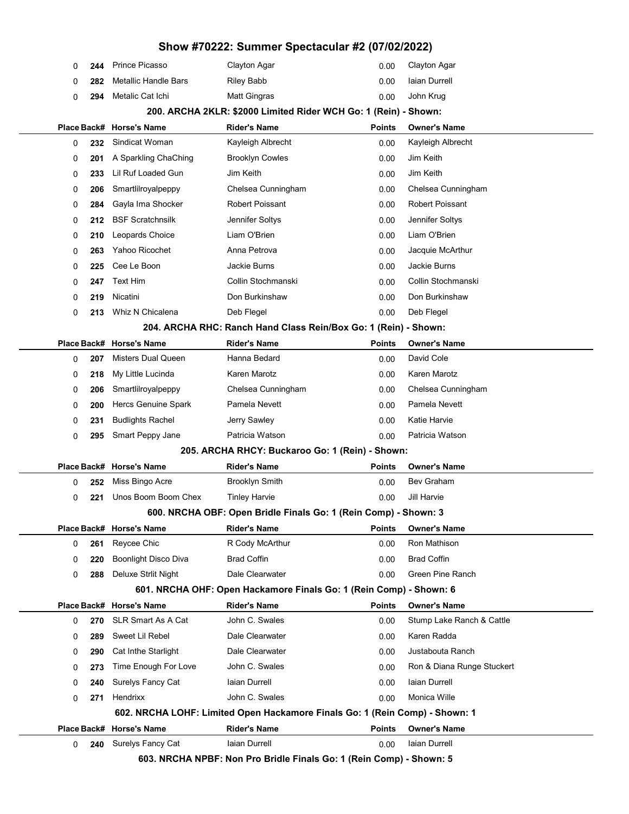|   |     |                             | Show #70222: Summer Spectacular #2 (07/02/2022)                             |               |                            |
|---|-----|-----------------------------|-----------------------------------------------------------------------------|---------------|----------------------------|
| 0 | 244 | <b>Prince Picasso</b>       | Clayton Agar                                                                | 0.00          | Clayton Agar               |
| 0 | 282 | Metallic Handle Bars        | <b>Riley Babb</b>                                                           | 0.00          | Iaian Durrell              |
| 0 | 294 | Metalic Cat Ichi            | Matt Gingras                                                                | 0.00          | John Krug                  |
|   |     |                             | 200. ARCHA 2KLR: \$2000 Limited Rider WCH Go: 1 (Rein) - Shown:             |               |                            |
|   |     | Place Back# Horse's Name    | Rider's Name                                                                | <b>Points</b> | <b>Owner's Name</b>        |
| 0 | 232 | Sindicat Woman              | Kayleigh Albrecht                                                           | 0.00          | Kayleigh Albrecht          |
| 0 | 201 | A Sparkling ChaChing        | <b>Brooklyn Cowles</b>                                                      | 0.00          | Jim Keith                  |
| 0 | 233 | <b>Lil Ruf Loaded Gun</b>   | Jim Keith                                                                   | 0.00          | Jim Keith                  |
| 0 | 206 | Smartlilroyalpeppy          | Chelsea Cunningham                                                          | 0.00          | Chelsea Cunningham         |
| 0 | 284 | Gayla Ima Shocker           | Robert Poissant                                                             | 0.00          | Robert Poissant            |
| 0 | 212 | <b>BSF Scratchnsilk</b>     | Jennifer Soltys                                                             | 0.00          | Jennifer Soltys            |
| 0 | 210 | Leopards Choice             | Liam O'Brien                                                                | 0.00          | Liam O'Brien               |
| 0 | 263 | Yahoo Ricochet              | Anna Petrova                                                                | 0.00          | Jacquie McArthur           |
| 0 | 225 | Cee Le Boon                 | Jackie Burns                                                                | 0.00          | Jackie Burns               |
| 0 | 247 | <b>Text Him</b>             | Collin Stochmanski                                                          | 0.00          | Collin Stochmanski         |
| 0 | 219 | Nicatini                    | Don Burkinshaw                                                              | 0.00          | Don Burkinshaw             |
| 0 | 213 | Whiz N Chicalena            | Deb Flegel                                                                  | 0.00          | Deb Flegel                 |
|   |     |                             | 204. ARCHA RHC: Ranch Hand Class Rein/Box Go: 1 (Rein) - Shown:             |               |                            |
|   |     | Place Back# Horse's Name    | Rider's Name                                                                | <b>Points</b> | <b>Owner's Name</b>        |
| 0 | 207 | Misters Dual Queen          | Hanna Bedard                                                                | 0.00          | David Cole                 |
| 0 | 218 | My Little Lucinda           | Karen Marotz                                                                | 0.00          | Karen Marotz               |
| 0 | 206 | Smartlilroyalpeppy          | Chelsea Cunningham                                                          | 0.00          | Chelsea Cunningham         |
| 0 | 200 | Hercs Genuine Spark         | Pamela Nevett                                                               | 0.00          | Pamela Nevett              |
| 0 | 231 | <b>Budlights Rachel</b>     | Jerry Sawley                                                                | 0.00          | Katie Harvie               |
| 0 | 295 | Smart Peppy Jane            | Patricia Watson                                                             | 0.00          | Patricia Watson            |
|   |     |                             | 205. ARCHA RHCY: Buckaroo Go: 1 (Rein) - Shown:                             |               |                            |
|   |     | Place Back# Horse's Name    | Rider's Name                                                                | <b>Points</b> | <b>Owner's Name</b>        |
| 0 | 252 | Miss Bingo Acre             | <b>Brooklyn Smith</b>                                                       | 0.00          | <b>Bev Graham</b>          |
| 0 | 221 | Unos Boom Boom Chex         | <b>Tinley Harvie</b>                                                        | 0.00          | Jill Harvie                |
|   |     |                             | 600. NRCHA OBF: Open Bridle Finals Go: 1 (Rein Comp) - Shown: 3             |               |                            |
|   |     | Place Back# Horse's Name    | Rider's Name                                                                | <b>Points</b> | <b>Owner's Name</b>        |
| 0 | 261 | Reycee Chic                 | R Cody McArthur                                                             | 0.00          | Ron Mathison               |
| 0 | 220 | <b>Boonlight Disco Diva</b> | <b>Brad Coffin</b>                                                          | 0.00          | <b>Brad Coffin</b>         |
| 0 | 288 | <b>Deluxe Strlit Night</b>  | Dale Clearwater                                                             | 0.00          | Green Pine Ranch           |
|   |     |                             | 601. NRCHA OHF: Open Hackamore Finals Go: 1 (Rein Comp) - Shown: 6          |               |                            |
|   |     | Place Back# Horse's Name    | <b>Rider's Name</b>                                                         | <b>Points</b> | <b>Owner's Name</b>        |
| 0 | 270 | <b>SLR Smart As A Cat</b>   | John C. Swales                                                              | 0.00          | Stump Lake Ranch & Cattle  |
| 0 | 289 | Sweet Lil Rebel             | Dale Clearwater                                                             | 0.00          | Karen Radda                |
| 0 | 290 | Cat Inthe Starlight         | Dale Clearwater                                                             | 0.00          | Justabouta Ranch           |
| 0 | 273 | Time Enough For Love        | John C. Swales                                                              | 0.00          | Ron & Diana Runge Stuckert |
| 0 | 240 | Surelys Fancy Cat           | laian Durrell                                                               | 0.00          | Iaian Durrell              |
| 0 | 271 | Hendrixx                    | John C. Swales                                                              | 0.00          | Monica Wille               |
|   |     |                             | 602. NRCHA LOHF: Limited Open Hackamore Finals Go: 1 (Rein Comp) - Shown: 1 |               |                            |
|   |     | Place Back# Horse's Name    | <b>Rider's Name</b>                                                         | Points        | <b>Owner's Name</b>        |
| 0 | 240 | Surelys Fancy Cat           | laian Durrell                                                               | 0.00          | Iaian Durrell              |